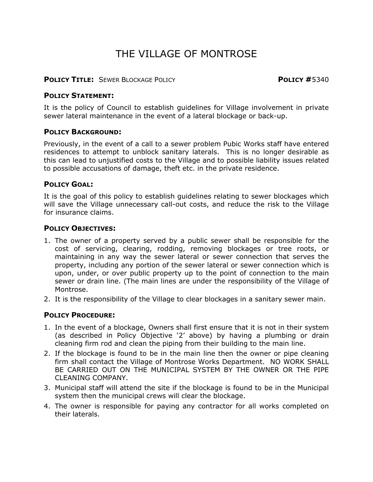# THE VILLAGE OF MONTROSE

#### **POLICY TITLE:** SEWER BLOCKAGE POLICY **POLICY #**5340

#### **POLICY STATEMENT:**

It is the policy of Council to establish guidelines for Village involvement in private sewer lateral maintenance in the event of a lateral blockage or back-up.

#### **POLICY BACKGROUND:**

Previously, in the event of a call to a sewer problem Pubic Works staff have entered residences to attempt to unblock sanitary laterals. This is no longer desirable as this can lead to unjustified costs to the Village and to possible liability issues related to possible accusations of damage, theft etc. in the private residence.

### **POLICY GOAL:**

It is the goal of this policy to establish guidelines relating to sewer blockages which will save the Village unnecessary call-out costs, and reduce the risk to the Village for insurance claims.

#### **POLICY OBJECTIVES:**

- 1. The owner of a property served by a public sewer shall be responsible for the cost of servicing, clearing, rodding, removing blockages or tree roots, or maintaining in any way the sewer lateral or sewer connection that serves the property, including any portion of the sewer lateral or sewer connection which is upon, under, or over public property up to the point of connection to the main sewer or drain line. (The main lines are under the responsibility of the Village of Montrose.
- 2. It is the responsibility of the Village to clear blockages in a sanitary sewer main.

## **POLICY PROCEDURE:**

- 1. In the event of a blockage, Owners shall first ensure that it is not in their system (as described in Policy Objective '2' above) by having a plumbing or drain cleaning firm rod and clean the piping from their building to the main line.
- 2. If the blockage is found to be in the main line then the owner or pipe cleaning firm shall contact the Village of Montrose Works Department. NO WORK SHALL BE CARRIED OUT ON THE MUNICIPAL SYSTEM BY THE OWNER OR THE PIPE CLEANING COMPANY.
- 3. Municipal staff will attend the site if the blockage is found to be in the Municipal system then the municipal crews will clear the blockage.
- 4. The owner is responsible for paying any contractor for all works completed on their laterals.